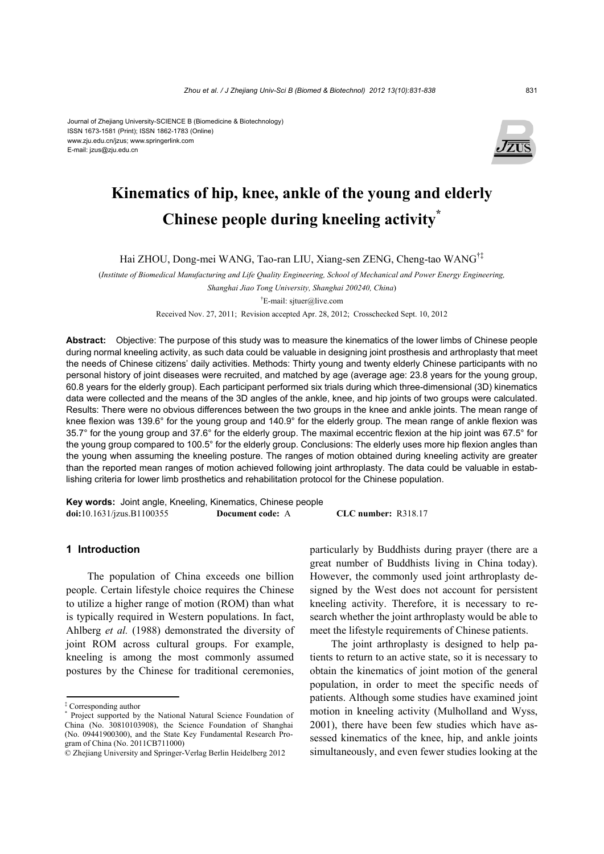#### Journal of Zhejiang University-SCIENCE B (Biomedicine & Biotechnology) ISSN 1673-1581 (Print); ISSN 1862-1783 (Online) www.zju.edu.cn/jzus; www.springerlink.com E-mail: jzus@zju.edu.cn



# **Kinematics of hip, knee, ankle of the young and elderly Chinese people during kneeling activity\***

Hai ZHOU, Dong-mei WANG, Tao-ran LIU, Xiang-sen ZENG, Cheng-tao WANG†‡

(*Institute of Biomedical Manufacturing and Life Quality Engineering, School of Mechanical and Power Energy Engineering,* 

*Shanghai Jiao Tong University, Shanghai 200240, China*)

† E-mail: sjtuer@live.com

Received Nov. 27, 2011; Revision accepted Apr. 28, 2012; Crosschecked Sept. 10, 2012

**Abstract:** Objective: The purpose of this study was to measure the kinematics of the lower limbs of Chinese people during normal kneeling activity, as such data could be valuable in designing joint prosthesis and arthroplasty that meet the needs of Chinese citizens' daily activities. Methods: Thirty young and twenty elderly Chinese participants with no personal history of joint diseases were recruited, and matched by age (average age: 23.8 years for the young group, 60.8 years for the elderly group). Each participant performed six trials during which three-dimensional (3D) kinematics data were collected and the means of the 3D angles of the ankle, knee, and hip joints of two groups were calculated. Results: There were no obvious differences between the two groups in the knee and ankle joints. The mean range of knee flexion was 139.6° for the young group and 140.9° for the elderly group. The mean range of ankle flexion was 35.7° for the young group and 37.6° for the elderly group. The maximal eccentric flexion at the hip joint was 67.5° for the young group compared to 100.5° for the elderly group. Conclusions: The elderly uses more hip flexion angles than the young when assuming the kneeling posture. The ranges of motion obtained during kneeling activity are greater than the reported mean ranges of motion achieved following joint arthroplasty. The data could be valuable in establishing criteria for lower limb prosthetics and rehabilitation protocol for the Chinese population.

**Key words:** Joint angle, Kneeling, Kinematics, Chinese people **doi:**10.1631/jzus.B1100355 **Document code:** A **CLC number:** R318.17

#### **1 Introduction**

The population of China exceeds one billion people. Certain lifestyle choice requires the Chinese to utilize a higher range of motion (ROM) than what is typically required in Western populations. In fact, Ahlberg *et al.* (1988) demonstrated the diversity of joint ROM across cultural groups. For example, kneeling is among the most commonly assumed postures by the Chinese for traditional ceremonies,

particularly by Buddhists during prayer (there are a great number of Buddhists living in China today). However, the commonly used joint arthroplasty designed by the West does not account for persistent kneeling activity. Therefore, it is necessary to research whether the joint arthroplasty would be able to meet the lifestyle requirements of Chinese patients.

The joint arthroplasty is designed to help patients to return to an active state, so it is necessary to obtain the kinematics of joint motion of the general population, in order to meet the specific needs of patients. Although some studies have examined joint motion in kneeling activity (Mulholland and Wyss, 2001), there have been few studies which have assessed kinematics of the knee, hip, and ankle joints simultaneously, and even fewer studies looking at the

<sup>‡</sup> Corresponding author

<sup>\*</sup> Project supported by the National Natural Science Foundation of China (No. 30810103908), the Science Foundation of Shanghai (No. 09441900300), and the State Key Fundamental Research Program of China (No. 2011CB711000)

<sup>©</sup> Zhejiang University and Springer-Verlag Berlin Heidelberg 2012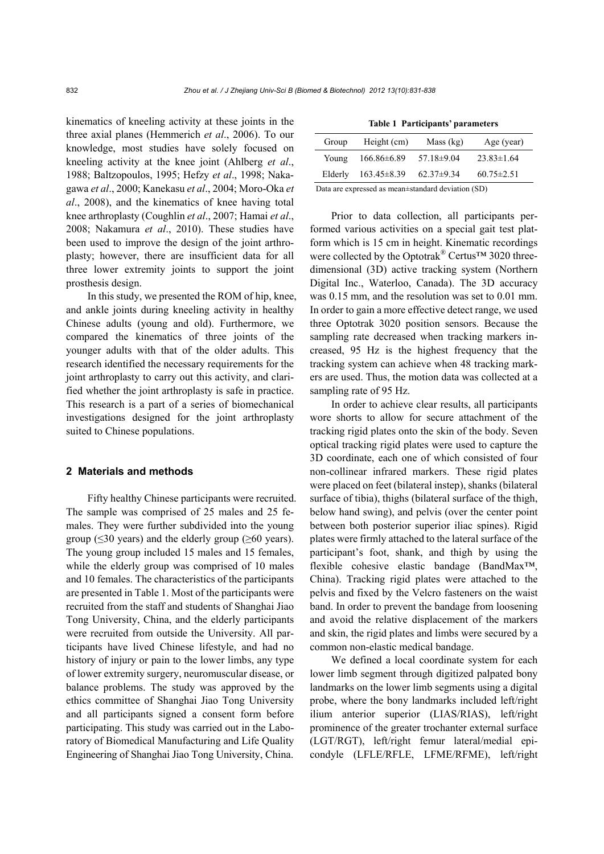kinematics of kneeling activity at these joints in the three axial planes (Hemmerich *et al*., 2006). To our knowledge, most studies have solely focused on kneeling activity at the knee joint (Ahlberg *et al*., 1988; Baltzopoulos, 1995; Hefzy *et al*., 1998; Nakagawa *et al*., 2000; Kanekasu *et al*., 2004; Moro-Oka *et al*., 2008), and the kinematics of knee having total knee arthroplasty (Coughlin *et al*., 2007; Hamai *et al*., 2008; Nakamura *et al*., 2010). These studies have been used to improve the design of the joint arthroplasty; however, there are insufficient data for all three lower extremity joints to support the joint prosthesis design.

In this study, we presented the ROM of hip, knee, and ankle joints during kneeling activity in healthy Chinese adults (young and old). Furthermore, we compared the kinematics of three joints of the younger adults with that of the older adults. This research identified the necessary requirements for the joint arthroplasty to carry out this activity, and clarified whether the joint arthroplasty is safe in practice. This research is a part of a series of biomechanical investigations designed for the joint arthroplasty suited to Chinese populations.

## **2 Materials and methods**

Fifty healthy Chinese participants were recruited. The sample was comprised of 25 males and 25 females. They were further subdivided into the young group ( $\leq$ 30 years) and the elderly group ( $\geq$ 60 years). The young group included 15 males and 15 females, while the elderly group was comprised of 10 males and 10 females. The characteristics of the participants are presented in Table 1. Most of the participants were recruited from the staff and students of Shanghai Jiao Tong University, China, and the elderly participants were recruited from outside the University. All participants have lived Chinese lifestyle, and had no history of injury or pain to the lower limbs, any type of lower extremity surgery, neuromuscular disease, or balance problems. The study was approved by the ethics committee of Shanghai Jiao Tong University and all participants signed a consent form before participating. This study was carried out in the Laboratory of Biomedical Manufacturing and Life Quality Engineering of Shanghai Jiao Tong University, China.

| <b>Table 1 Participants' parameters</b> |                   |                |                  |  |  |  |
|-----------------------------------------|-------------------|----------------|------------------|--|--|--|
| Group                                   | Height (cm)       | Mass (kg)      | Age (year)       |  |  |  |
| Young                                   | $166.86\pm 6.89$  | 57.18±9.04     | $23.83 \pm 1.64$ |  |  |  |
| Elderly                                 | $163.45 \pm 8.39$ | $62.37\pm9.34$ | $60.75 \pm 2.51$ |  |  |  |
|                                         |                   | .              |                  |  |  |  |

Data are expressed as mean±standard deviation (SD)

Prior to data collection, all participants performed various activities on a special gait test platform which is 15 cm in height. Kinematic recordings were collected by the Optotrak<sup>®</sup> Certus<sup>™</sup> 3020 threedimensional (3D) active tracking system (Northern Digital Inc., Waterloo, Canada). The 3D accuracy was 0.15 mm, and the resolution was set to 0.01 mm. In order to gain a more effective detect range, we used three Optotrak 3020 position sensors. Because the sampling rate decreased when tracking markers increased, 95 Hz is the highest frequency that the tracking system can achieve when 48 tracking markers are used. Thus, the motion data was collected at a sampling rate of 95 Hz.

In order to achieve clear results, all participants wore shorts to allow for secure attachment of the tracking rigid plates onto the skin of the body. Seven optical tracking rigid plates were used to capture the 3D coordinate, each one of which consisted of four non-collinear infrared markers. These rigid plates were placed on feet (bilateral instep), shanks (bilateral surface of tibia), thighs (bilateral surface of the thigh, below hand swing), and pelvis (over the center point between both posterior superior iliac spines). Rigid plates were firmly attached to the lateral surface of the participant's foot, shank, and thigh by using the flexible cohesive elastic bandage (BandMax™, China). Tracking rigid plates were attached to the pelvis and fixed by the Velcro fasteners on the waist band. In order to prevent the bandage from loosening and avoid the relative displacement of the markers and skin, the rigid plates and limbs were secured by a common non-elastic medical bandage.

We defined a local coordinate system for each lower limb segment through digitized palpated bony landmarks on the lower limb segments using a digital probe, where the bony landmarks included left/right ilium anterior superior (LIAS/RIAS), left/right prominence of the greater trochanter external surface (LGT/RGT), left/right femur lateral/medial epicondyle (LFLE/RFLE, LFME/RFME), left/right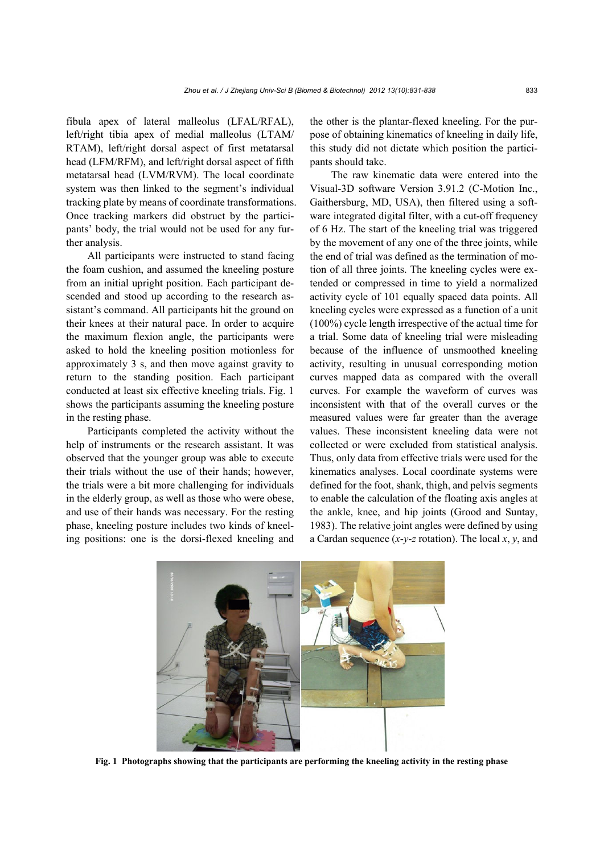fibula apex of lateral malleolus (LFAL/RFAL), left/right tibia apex of medial malleolus (LTAM/ RTAM), left/right dorsal aspect of first metatarsal head (LFM/RFM), and left/right dorsal aspect of fifth metatarsal head (LVM/RVM). The local coordinate system was then linked to the segment's individual tracking plate by means of coordinate transformations. Once tracking markers did obstruct by the participants' body, the trial would not be used for any further analysis.

All participants were instructed to stand facing the foam cushion, and assumed the kneeling posture from an initial upright position. Each participant descended and stood up according to the research assistant's command. All participants hit the ground on their knees at their natural pace. In order to acquire the maximum flexion angle, the participants were asked to hold the kneeling position motionless for approximately 3 s, and then move against gravity to return to the standing position. Each participant conducted at least six effective kneeling trials. Fig. 1 shows the participants assuming the kneeling posture in the resting phase.

Participants completed the activity without the help of instruments or the research assistant. It was observed that the younger group was able to execute their trials without the use of their hands; however, the trials were a bit more challenging for individuals in the elderly group, as well as those who were obese, and use of their hands was necessary. For the resting phase, kneeling posture includes two kinds of kneeling positions: one is the dorsi-flexed kneeling and the other is the plantar-flexed kneeling. For the purpose of obtaining kinematics of kneeling in daily life, this study did not dictate which position the participants should take.

The raw kinematic data were entered into the Visual-3D software Version 3.91.2 (C-Motion Inc., Gaithersburg, MD, USA), then filtered using a software integrated digital filter, with a cut-off frequency of 6 Hz. The start of the kneeling trial was triggered by the movement of any one of the three joints, while the end of trial was defined as the termination of motion of all three joints. The kneeling cycles were extended or compressed in time to yield a normalized activity cycle of 101 equally spaced data points. All kneeling cycles were expressed as a function of a unit (100%) cycle length irrespective of the actual time for a trial. Some data of kneeling trial were misleading because of the influence of unsmoothed kneeling activity, resulting in unusual corresponding motion curves mapped data as compared with the overall curves. For example the waveform of curves was inconsistent with that of the overall curves or the measured values were far greater than the average values. These inconsistent kneeling data were not collected or were excluded from statistical analysis. Thus, only data from effective trials were used for the kinematics analyses. Local coordinate systems were defined for the foot, shank, thigh, and pelvis segments to enable the calculation of the floating axis angles at the ankle, knee, and hip joints (Grood and Suntay, 1983). The relative joint angles were defined by using a Cardan sequence (*x*-*y*-*z* rotation). The local *x*, *y*, and



**Fig. 1 Photographs showing that the participants are performing the kneeling activity in the resting phase**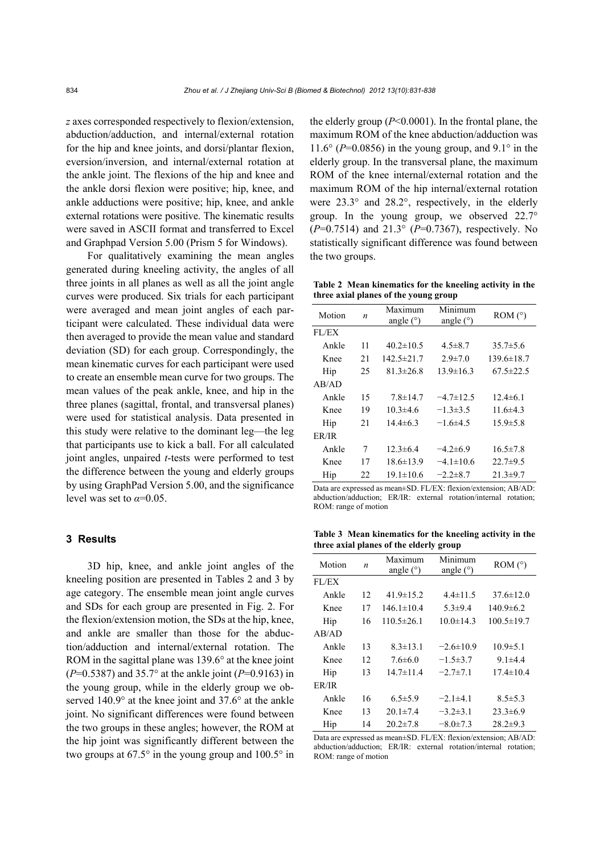*z* axes corresponded respectively to flexion/extension, abduction/adduction, and internal/external rotation for the hip and knee joints, and dorsi/plantar flexion, eversion/inversion, and internal/external rotation at the ankle joint. The flexions of the hip and knee and the ankle dorsi flexion were positive; hip, knee, and ankle adductions were positive; hip, knee, and ankle external rotations were positive. The kinematic results were saved in ASCII format and transferred to Excel and Graphpad Version 5.00 (Prism 5 for Windows).

For qualitatively examining the mean angles generated during kneeling activity, the angles of all three joints in all planes as well as all the joint angle curves were produced. Six trials for each participant were averaged and mean joint angles of each participant were calculated. These individual data were then averaged to provide the mean value and standard deviation (SD) for each group. Correspondingly, the mean kinematic curves for each participant were used to create an ensemble mean curve for two groups. The mean values of the peak ankle, knee, and hip in the three planes (sagittal, frontal, and transversal planes) were used for statistical analysis. Data presented in this study were relative to the dominant leg—the leg that participants use to kick a ball. For all calculated joint angles, unpaired *t*-tests were performed to test the difference between the young and elderly groups by using GraphPad Version 5.00, and the significance level was set to  $\alpha = 0.05$ .

# **3 Results**

3D hip, knee, and ankle joint angles of the kneeling position are presented in Tables 2 and 3 by age category. The ensemble mean joint angle curves and SDs for each group are presented in Fig. 2. For the flexion/extension motion, the SDs at the hip, knee, and ankle are smaller than those for the abduction/adduction and internal/external rotation. The ROM in the sagittal plane was 139.6° at the knee joint (*P*=0.5387) and 35.7° at the ankle joint (*P*=0.9163) in the young group, while in the elderly group we observed 140.9° at the knee joint and 37.6° at the ankle joint. No significant differences were found between the two groups in these angles; however, the ROM at the hip joint was significantly different between the two groups at 67.5° in the young group and 100.5° in the elderly group (*P*<0.0001). In the frontal plane, the maximum ROM of the knee abduction/adduction was 11.6° ( $P=0.0856$ ) in the young group, and 9.1° in the elderly group. In the transversal plane, the maximum ROM of the knee internal/external rotation and the maximum ROM of the hip internal/external rotation were 23.3° and 28.2°, respectively, in the elderly group. In the young group, we observed 22.7° (*P*=0.7514) and 21.3° (*P*=0.7367), respectively. No statistically significant difference was found between the two groups.

**Table 2 Mean kinematics for the kneeling activity in the three axial planes of the young group**

| Motion | n  | Maximum<br>angle $(°)$ | Minimum<br>angle $(°)$ | ROM (°)          |
|--------|----|------------------------|------------------------|------------------|
| FL/EX  |    |                        |                        |                  |
| Ankle  | 11 | $40.2 \pm 10.5$        | $4.5 \pm 8.7$          | $35.7 \pm 5.6$   |
| Knee   | 21 | $142.5 \pm 21.7$       | $2.9 \pm 7.0$          | $139.6 \pm 18.7$ |
| Hip    | 25 | $81.3 \pm 26.8$        | $13.9 \pm 16.3$        | $67.5 \pm 22.5$  |
| AB/AD  |    |                        |                        |                  |
| Ankle  | 15 | $7.8 \pm 14.7$         | $-4.7 \pm 12.5$        | $12.4 \pm 6.1$   |
| Knee   | 19 | $10.3 \pm 4.6$         | $-1.3\pm3.5$           | 11.6 $\pm$ 4.3   |
| Hip    | 21 | $14.4\pm 6.3$          | $-1.6\pm4.5$           | $15.9 \pm 5.8$   |
| ER/IR  |    |                        |                        |                  |
| Ankle  | 7  | $12.3 \pm 6.4$         | $-4.2\pm 6.9$          | $16.5 \pm 7.8$   |
| Knee   | 17 | $18.6 \pm 13.9$        | $-4.1 \pm 10.6$        | $22.7 \pm 9.5$   |
| Hip    | 22 | $19.1 \pm 10.6$        | $-2.2\pm 8.7$          | $21.3 \pm 9.7$   |

Data are expressed as mean±SD. FL/EX: flexion/extension; AB/AD: abduction/adduction; ER/IR: external rotation/internal rotation; ROM: range of motion

**Table 3 Mean kinematics for the kneeling activity in the three axial planes of the elderly group**

| Motion | n  | Maximum<br>angle $(°)$ | Minimum<br>angle $(°)$ | ROM (°)          |
|--------|----|------------------------|------------------------|------------------|
| FL/EX  |    |                        |                        |                  |
| Ankle  | 12 | $41.9 \pm 15.2$        | $4.4 \pm 11.5$         | $37.6 \pm 12.0$  |
| Knee   | 17 | $146.1 \pm 10.4$       | $5.3 \pm 9.4$          | $140.9 \pm 6.2$  |
| Hip    | 16 | $110.5 \pm 26.1$       | $10.0 \pm 14.3$        | $100.5 \pm 19.7$ |
| AB/AD  |    |                        |                        |                  |
| Ankle  | 13 | $8.3 \pm 13.1$         | $-2.6 \pm 10.9$        | $10.9 \pm 5.1$   |
| Knee   | 12 | $7.6 \pm 6.0$          | $-1.5 \pm 3.7$         | $9.1 \pm 4.4$    |
| Hip    | 13 | $14.7 \pm 11.4$        | $-2.7 \pm 7.1$         | $17.4 \pm 10.4$  |
| ER/IR  |    |                        |                        |                  |
| Ankle  | 16 | $6.5 \pm 5.9$          | $-2.1\pm4.1$           | $8.5 \pm 5.3$    |
| Knee   | 13 | $20.1 \pm 7.4$         | $-3.2\pm3.1$           | $23.3 \pm 6.9$   |
| Hip    | 14 | $20.2 \pm 7.8$         | $-8.0 \pm 7.3$         | $28.2 \pm 9.3$   |

Data are expressed as mean±SD. FL/EX: flexion/extension; AB/AD: abduction/adduction; ER/IR: external rotation/internal rotation; ROM: range of motion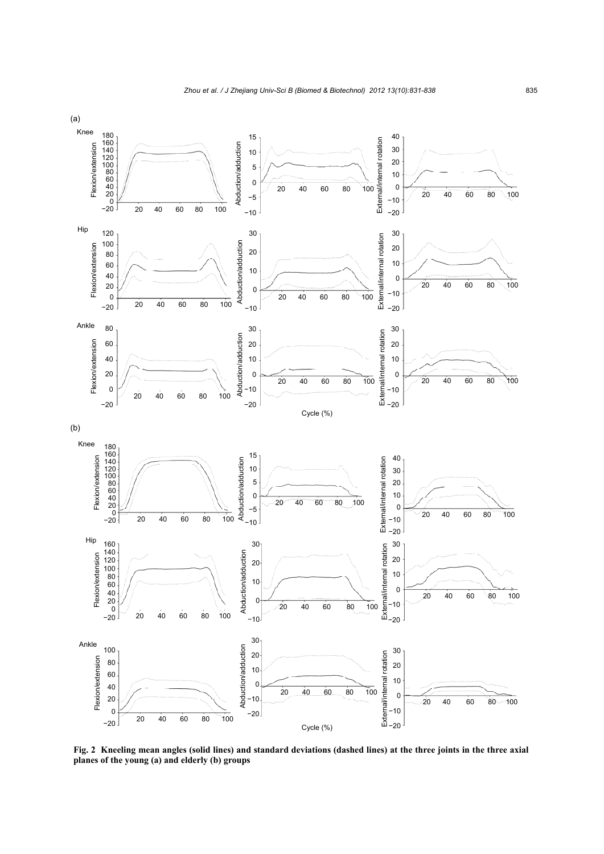

**Fig. 2 Kneeling mean angles (solid lines) and standard deviations (dashed lines) at the three joints in the three axial planes of the young (a) and elderly (b) groups**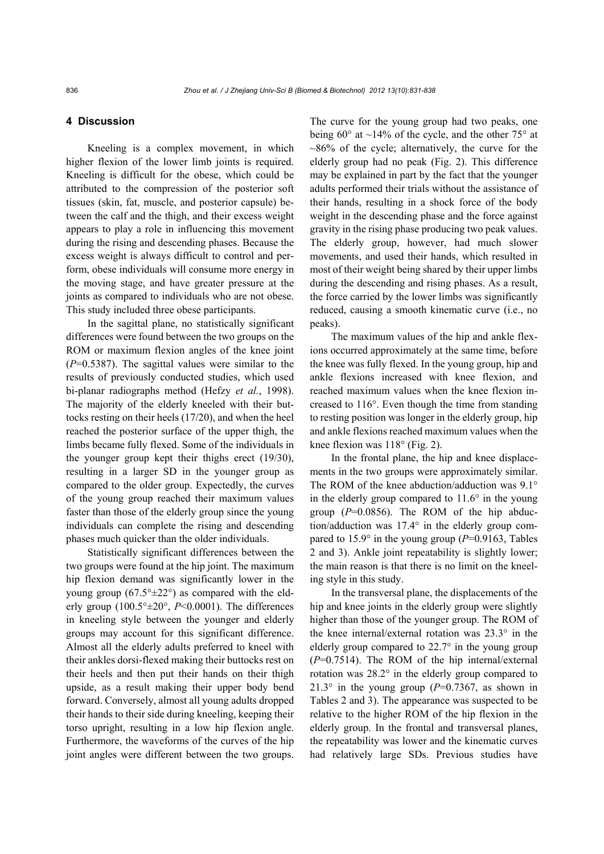# **4 Discussion**

Kneeling is a complex movement, in which higher flexion of the lower limb joints is required. Kneeling is difficult for the obese, which could be attributed to the compression of the posterior soft tissues (skin, fat, muscle, and posterior capsule) between the calf and the thigh, and their excess weight appears to play a role in influencing this movement during the rising and descending phases. Because the excess weight is always difficult to control and perform, obese individuals will consume more energy in the moving stage, and have greater pressure at the joints as compared to individuals who are not obese. This study included three obese participants.

In the sagittal plane, no statistically significant differences were found between the two groups on the ROM or maximum flexion angles of the knee joint (*P*=0.5387). The sagittal values were similar to the results of previously conducted studies, which used bi-planar radiographs method (Hefzy *et al.*, 1998). The majority of the elderly kneeled with their buttocks resting on their heels (17/20), and when the heel reached the posterior surface of the upper thigh, the limbs became fully flexed. Some of the individuals in the younger group kept their thighs erect (19/30), resulting in a larger SD in the younger group as compared to the older group. Expectedly, the curves of the young group reached their maximum values faster than those of the elderly group since the young individuals can complete the rising and descending phases much quicker than the older individuals.

Statistically significant differences between the two groups were found at the hip joint. The maximum hip flexion demand was significantly lower in the young group  $(67.5^{\circ} \pm 22^{\circ})$  as compared with the elderly group  $(100.5^{\circ} \pm 20^{\circ}, P \le 0.0001)$ . The differences in kneeling style between the younger and elderly groups may account for this significant difference. Almost all the elderly adults preferred to kneel with their ankles dorsi-flexed making their buttocks rest on their heels and then put their hands on their thigh upside, as a result making their upper body bend forward. Conversely, almost all young adults dropped their hands to their side during kneeling, keeping their torso upright, resulting in a low hip flexion angle. Furthermore, the waveforms of the curves of the hip joint angles were different between the two groups.

The curve for the young group had two peaks, one being  $60^{\circ}$  at  $\sim$ 14% of the cycle, and the other 75° at  $\sim$ 86% of the cycle; alternatively, the curve for the elderly group had no peak (Fig. 2). This difference may be explained in part by the fact that the younger adults performed their trials without the assistance of their hands, resulting in a shock force of the body weight in the descending phase and the force against gravity in the rising phase producing two peak values. The elderly group, however, had much slower movements, and used their hands, which resulted in most of their weight being shared by their upper limbs during the descending and rising phases. As a result, the force carried by the lower limbs was significantly reduced, causing a smooth kinematic curve (i.e., no peaks).

The maximum values of the hip and ankle flexions occurred approximately at the same time, before the knee was fully flexed. In the young group, hip and ankle flexions increased with knee flexion, and reached maximum values when the knee flexion increased to 116°. Even though the time from standing to resting position was longer in the elderly group, hip and ankle flexions reached maximum values when the knee flexion was 118° (Fig. 2).

In the frontal plane, the hip and knee displacements in the two groups were approximately similar. The ROM of the knee abduction/adduction was 9.1° in the elderly group compared to 11.6° in the young group (*P*=0.0856). The ROM of the hip abduction/adduction was 17.4° in the elderly group compared to 15.9° in the young group (*P*=0.9163, Tables 2 and 3). Ankle joint repeatability is slightly lower; the main reason is that there is no limit on the kneeling style in this study.

In the transversal plane, the displacements of the hip and knee joints in the elderly group were slightly higher than those of the younger group. The ROM of the knee internal/external rotation was 23.3° in the elderly group compared to 22.7° in the young group (*P*=0.7514). The ROM of the hip internal/external rotation was 28.2° in the elderly group compared to 21.3° in the young group  $(P=0.7367)$ , as shown in Tables 2 and 3). The appearance was suspected to be relative to the higher ROM of the hip flexion in the elderly group. In the frontal and transversal planes, the repeatability was lower and the kinematic curves had relatively large SDs. Previous studies have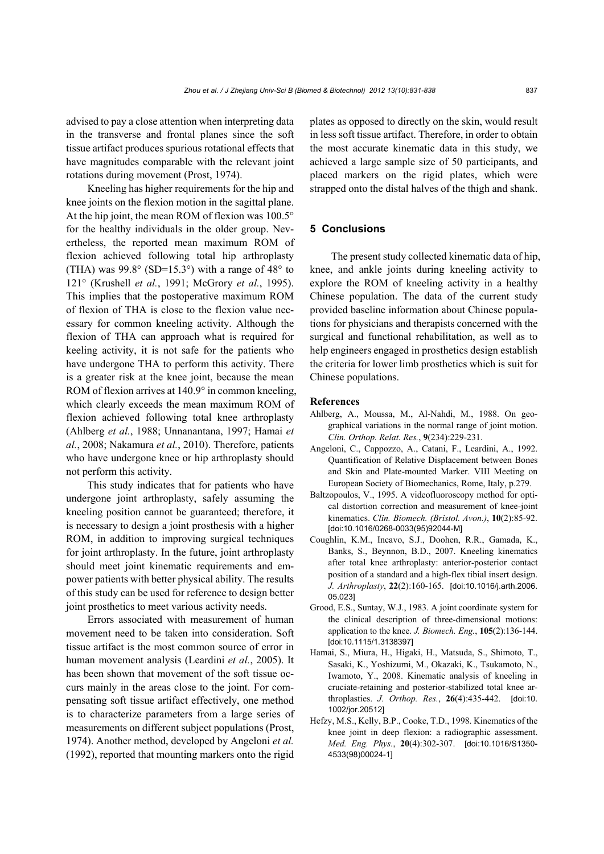advised to pay a close attention when interpreting data in the transverse and frontal planes since the soft tissue artifact produces spurious rotational effects that have magnitudes comparable with the relevant joint rotations during movement (Prost, 1974).

Kneeling has higher requirements for the hip and knee joints on the flexion motion in the sagittal plane. At the hip joint, the mean ROM of flexion was 100.5° for the healthy individuals in the older group. Nevertheless, the reported mean maximum ROM of flexion achieved following total hip arthroplasty (THA) was  $99.8^{\circ}$  (SD=15.3°) with a range of 48° to 121° (Krushell *et al.*, 1991; McGrory *et al.*, 1995). This implies that the postoperative maximum ROM of flexion of THA is close to the flexion value necessary for common kneeling activity. Although the flexion of THA can approach what is required for keeling activity, it is not safe for the patients who have undergone THA to perform this activity. There is a greater risk at the knee joint, because the mean ROM of flexion arrives at 140.9° in common kneeling, which clearly exceeds the mean maximum ROM of flexion achieved following total knee arthroplasty (Ahlberg *et al.*, 1988; Unnanantana, 1997; Hamai *et al.*, 2008; Nakamura *et al.*, 2010). Therefore, patients who have undergone knee or hip arthroplasty should not perform this activity.

This study indicates that for patients who have undergone joint arthroplasty, safely assuming the kneeling position cannot be guaranteed; therefore, it is necessary to design a joint prosthesis with a higher ROM, in addition to improving surgical techniques for joint arthroplasty. In the future, joint arthroplasty should meet joint kinematic requirements and empower patients with better physical ability. The results of this study can be used for reference to design better joint prosthetics to meet various activity needs.

Errors associated with measurement of human movement need to be taken into consideration. Soft tissue artifact is the most common source of error in human movement analysis (Leardini *et al.*, 2005). It has been shown that movement of the soft tissue occurs mainly in the areas close to the joint. For compensating soft tissue artifact effectively, one method is to characterize parameters from a large series of measurements on different subject populations (Prost, 1974). Another method, developed by Angeloni *et al.* (1992), reported that mounting markers onto the rigid plates as opposed to directly on the skin, would result in less soft tissue artifact. Therefore, in order to obtain the most accurate kinematic data in this study, we achieved a large sample size of 50 participants, and placed markers on the rigid plates, which were strapped onto the distal halves of the thigh and shank.

# **5 Conclusions**

The present study collected kinematic data of hip, knee, and ankle joints during kneeling activity to explore the ROM of kneeling activity in a healthy Chinese population. The data of the current study provided baseline information about Chinese populations for physicians and therapists concerned with the surgical and functional rehabilitation, as well as to help engineers engaged in prosthetics design establish the criteria for lower limb prosthetics which is suit for Chinese populations.

# **References**

- Ahlberg, A., Moussa, M., Al-Nahdi, M., 1988. On geographical variations in the normal range of joint motion. *Clin. Orthop. Relat. Res.*, **9**(234):229-231.
- Angeloni, C., Cappozzo, A., Catani, F., Leardini, A., 1992. Quantification of Relative Displacement between Bones and Skin and Plate-mounted Marker. VIII Meeting on European Society of Biomechanics, Rome, Italy, p.279.
- Baltzopoulos, V., 1995. A videofluoroscopy method for optical distortion correction and measurement of knee-joint kinematics. *Clin. Biomech. (Bristol. Avon.)*, **10**(2):85-92. [doi:10.1016/0268-0033(95)92044-M]
- Coughlin, K.M., Incavo, S.J., Doohen, R.R., Gamada, K., Banks, S., Beynnon, B.D., 2007. Kneeling kinematics after total knee arthroplasty: anterior-posterior contact position of a standard and a high-flex tibial insert design. *J. Arthroplasty*, **22**(2):160-165. [doi:10.1016/j.arth.2006. 05.023]
- Grood, E.S., Suntay, W.J., 1983. A joint coordinate system for the clinical description of three-dimensional motions: application to the knee. *J. Biomech. Eng.*, **105**(2):136-144. [doi:10.1115/1.3138397]
- Hamai, S., Miura, H., Higaki, H., Matsuda, S., Shimoto, T., Sasaki, K., Yoshizumi, M., Okazaki, K., Tsukamoto, N., Iwamoto, Y., 2008. Kinematic analysis of kneeling in cruciate-retaining and posterior-stabilized total knee arthroplasties. *J. Orthop. Res.*, **26**(4):435-442. [doi:10. 1002/jor.20512]
- Hefzy, M.S., Kelly, B.P., Cooke, T.D., 1998. Kinematics of the knee joint in deep flexion: a radiographic assessment. *Med. Eng. Phys.*, **20**(4):302-307. [doi:10.1016/S1350- 4533(98)00024-1]